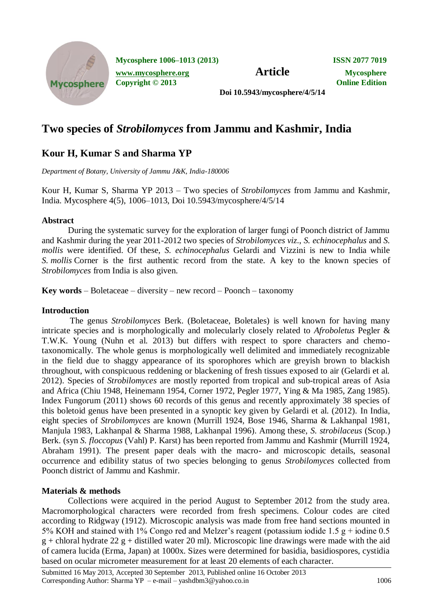

**Mycosphere 1006–1013 (2013) ISSN 2077 7019 [www.mycosphere.org](http://www.mycosphere.org/) Article Mycosphere Copyright © 2013 Online Edition**

**Doi 10.5943/mycosphere/4/5/14**

# **Two species of** *Strobilomyces* **from Jammu and Kashmir, India**

## **Kour H, Kumar S and Sharma YP**

*Department of Botany, University of Jammu J&K, India-180006*

Kour H, Kumar S, Sharma YP 2013 – Two species of *Strobilomyces* from Jammu and Kashmir, India. Mycosphere 4(5), 1006–1013, Doi 10.5943/mycosphere/4/5/14

## **Abstract**

During the systematic survey for the exploration of larger fungi of Poonch district of Jammu and Kashmir during the year 2011-2012 two species of *Strobilomyces viz*., *S. echinocephalus* and *S. mollis* were identified. Of these, *S. echinocephalus* Gelardi and Vizzini is new to India while *[S.](http://www.indexfungorum.org/Names/Names.asp?strGenus=Strobilomyces) mollis* Corner is the first authentic record from the state. A key to the known species of *Strobilomyces* from India is also given.

**Key words** – Boletaceae – diversity – new record – Poonch – taxonomy

### **Introduction**

 The genus *Strobilomyces* Berk. (Boletaceae, Boletales) is well known for having many intricate species and is morphologically and molecularly closely related to *Afroboletus* Pegler & T.W.K. Young (Nuhn et al. 2013) but differs with respect to spore characters and chemotaxonomically. The whole genus is morphologically well delimited and immediately recognizable in the field due to shaggy appearance of its sporophores which are greyish brown to blackish throughout, with conspicuous reddening or blackening of fresh tissues exposed to air (Gelardi et al. 2012). Species of *Strobilomyces* are mostly reported from tropical and sub-tropical areas of Asia and Africa (Chiu 1948, Heinemann 1954, Corner 1972, Pegler 1977, Ying & Ma 1985, Zang 1985). Index Fungorum (2011) shows 60 records of this genus and recently approximately 38 species of this boletoid genus have been presented in a synoptic key given by Gelardi et al. (2012). In India, eight species of *Strobilomyces* are known (Murrill 1924, Bose 1946, Sharma & Lakhanpal 1981, Manjula 1983, Lakhanpal & Sharma 1988, Lakhanpal 1996). Among these, *S. strobilaceus* (Scop.) Berk. (syn *S. floccopus* (Vahl) P. Karst) has been reported from Jammu and Kashmir (Murrill 1924, Abraham 1991). The present paper deals with the macro- and microscopic details, seasonal occurrence and edibility status of two species belonging to genus *Strobilomyces* collected from Poonch district of Jammu and Kashmir.

## **Materials & methods**

Collections were acquired in the period August to September 2012 from the study area. Macromorphological characters were recorded from fresh specimens. Colour codes are cited according to Ridgway (1912). Microscopic analysis was made from free hand sections mounted in 5% KOH and stained with 1% Congo red and Melzer's reagent (potassium iodide 1.5 g + iodine 0.5  $g +$ chloral hydrate 22 g + distilled water 20 ml). Microscopic line drawings were made with the aid of camera lucida (Erma, Japan) at 1000x. Sizes were determined for basidia, basidiospores, cystidia based on ocular micrometer measurement for at least 20 elements of each character.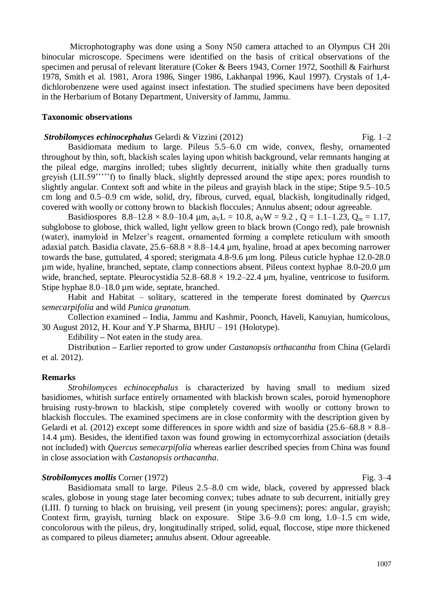Microphotography was done using a Sony N50 camera attached to an Olympus CH 20i binocular microscope. Specimens were identified on the basis of critical observations of the specimen and perusal of relevant literature (Coker & Beers 1943, Corner 1972, Soothill & Fairhurst 1978, Smith et al. 1981, Arora 1986, Singer 1986, Lakhanpal 1996, Kaul 1997). Crystals of 1,4 dichlorobenzene were used against insect infestation. The studied specimens have been deposited in the Herbarium of Botany Department, University of Jammu, Jammu.

#### **Taxonomic observations**

**Strobilomyces echinocephalus Gelardi & Vizzini (2012)** Fig. 1–2 Basidiomata medium to large. Pileus 5.5–6.0 cm wide, convex, fleshy, ornamented throughout by thin, soft, blackish scales laying upon whitish background, velar remnants hanging at the pileal edge, margins inrolled; tubes slightly decurrent, initially white then gradually turns greyish (LII.59'''''f) to finally black, slightly depressed around the stipe apex; pores roundish to slightly angular. Context soft and white in the pileus and grayish black in the stipe; Stipe 9.5–10.5 cm long and 0.5–0.9 cm wide, solid, dry, fibrous, curved, equal, blackish, longitudinally ridged, covered with woolly or cottony brown to blackish floccules; Annulus absent; odour agreeable.

Basidiospores  $8.8-12.8 \times 8.0-10.4 \mu m$ ,  $a_VL = 10.8$ ,  $a_VW = 9.2$ ,  $Q = 1.1-1.23$ ,  $Q_m = 1.17$ , subglobose to globose, thick walled, light yellow green to black brown (Congo red), pale brownish (water), inamyloid in Melzer's reagent, ornamented forming a complete reticulum with smooth adaxial patch. Basidia clavate,  $25.6-68.8 \times 8.8-14.4 \mu m$ , hyaline, broad at apex becoming narrower towards the base, guttulated, 4 spored; sterigmata 4.8-9.6 µm long. Pileus cuticle hyphae 12.0-28.0 µm wide, hyaline, branched, septate, clamp connections absent. Pileus context hyphae 8.0-20.0 µm wide, branched, septate. Pleurocystidia  $52.8-68.8 \times 19.2-22.4 \mu m$ , hyaline, ventricose to fusiform. Stipe hyphae 8.0–18.0 µm wide, septate, branched.

Habit and Habitat – solitary, scattered in the temperate forest dominated by *Quercus semecarpifolia* and wild *Punica granatum.*

Collection examined **–** India, Jammu and Kashmir, Poonch, Haveli, Kanuyian, humicolous, 30 August 2012, H. Kour and Y.P Sharma, BHJU – 191 (Holotype).

Edibility **–** Not eaten in the study area.

Distribution **–** Earlier reported to grow under *Castanopsis orthacantha* from China (Gelardi et al. 2012).

#### **Remarks**

*Strobilomyces echinocephalus* is characterized by having small to medium sized basidiomes, whitish surface entirely ornamented with blackish brown scales, poroid hymenophore bruising rusty-brown to blackish, stipe completely covered with woolly or cottony brown to blackish floccules. The examined specimens are in close conformity with the description given by Gelardi et al. (2012) except some differences in spore width and size of basidia (25.6–68.8  $\times$  8.8– 14.4 µm). Besides, the identified taxon was found growing in ectomycorrhizal association (details not included) with *Quercus semecarpifolia* whereas earlier described species from China was found in close association with *Castanopsis orthacantha*.

#### **[Strobilomyces](http://www.indexfungorum.org/Names/Names.asp?strGenus=Strobilomyces) mollis Corner (1972)** Fig. 3–4

Basidiomata small to large. Pileus 2.5–8.0 cm wide, black, covered by appressed black scales, globose in young stage later becoming convex; tubes adnate to sub decurrent, initially grey (LIII. f) turning to black on bruising, veil present (in young specimens); pores: angular, grayish; Context firm, grayish, turning black on exposure. Stipe 3.6–9.0 cm long, 1.0–1.5 cm wide, concolorous with the pileus, dry, longitudinally striped, solid, equal, floccose, stipe more thickened as compared to pileus diameter**;** annulus absent. Odour agreeable.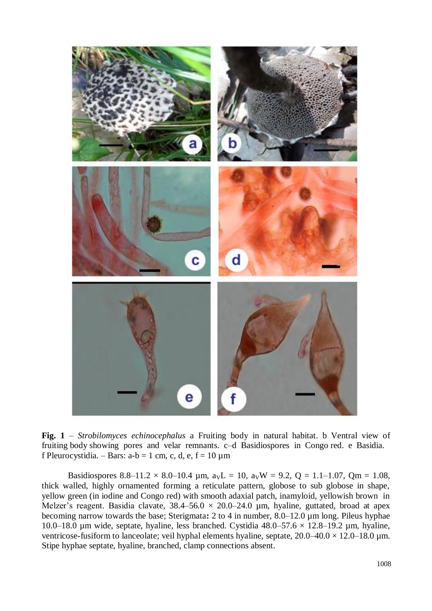

**Fig. 1** – *Strobilomyces echinocephalus* a Fruiting body in natural habitat. b Ventral view of fruiting body showing pores and velar remnants. c–d Basidiospores in Congo red. e Basidia. f Pleurocystidia. – Bars: a-b = 1 cm, c, d, e, f = 10  $\mu$ m

Basidiospores 8.8–11.2  $\times$  8.0–10.4 µm,  $a_VL = 10$ ,  $a_VW = 9.2$ ,  $Q = 1.1$ –1.07,  $Qm = 1.08$ , thick walled, highly ornamented forming a reticulate pattern, globose to sub globose in shape, yellow green (in iodine and Congo red) with smooth adaxial patch, inamyloid, yellowish brown in Melzer's reagent. Basidia clavate,  $38.4 - 56.0 \times 20.0 - 24.0$  µm, hyaline, guttated, broad at apex becoming narrow towards the base; Sterigmata**:** 2 to 4 in number, 8.0–12.0 µm long. Pileus hyphae 10.0–18.0 µm wide, septate, hyaline, less branched. Cystidia  $48.0-57.6 \times 12.8-19.2$  µm, hyaline, ventricose-fusiform to lanceolate; veil hyphal elements hyaline, septate,  $20.0-40.0 \times 12.0-18.0 \mu m$ . Stipe hyphae septate, hyaline, branched, clamp connections absent.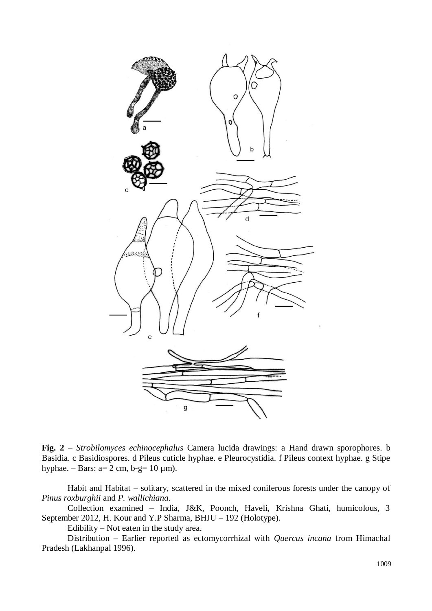

**Fig. 2** – *Strobilomyces echinocephalus* Camera lucida drawings: a Hand drawn sporophores. b Basidia. c Basidiospores. d Pileus cuticle hyphae. e Pleurocystidia. f Pileus context hyphae. g Stipe hyphae. – Bars: a= 2 cm, b-g= 10  $\mu$ m).

Habit and Habitat – solitary, scattered in the mixed coniferous forests under the canopy of *Pinus roxburghii* and *P. wallichiana.*

Collection examined **–** India, J&K, Poonch, Haveli, Krishna Ghati, humicolous, 3 September 2012, H. Kour and Y.P Sharma, BHJU – 192 (Holotype).

Edibility **–** Not eaten in the study area.

Distribution **–** Earlier reported as ectomycorrhizal with *Quercus incana* from Himachal Pradesh (Lakhanpal 1996).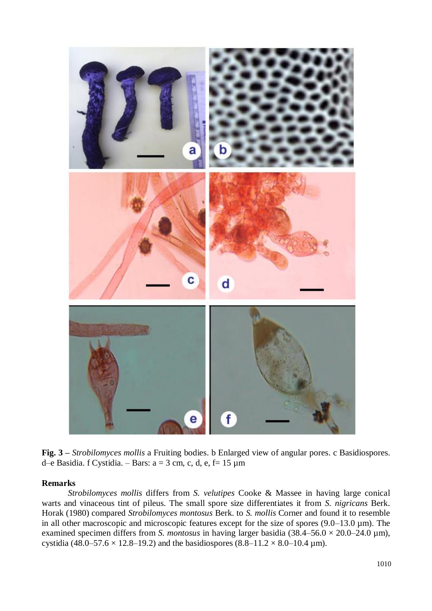

**Fig. 3 –** *Strobilomyces mollis* a Fruiting bodies. b Enlarged view of angular pores. c Basidiospores. d–e Basidia. f Cystidia. – Bars:  $a = 3$  cm, c, d, e, f= 15  $\mu$ m

#### **Remarks**

*Strobilomyces mollis* differs from *S. velutipes* Cooke & Massee in having large conical warts and vinaceous tint of pileus. The small spore size differentiates it from *S. nigricans* Berk. Horak (1980) compared *Strobilomyces montosus* Berk. to *S. mollis* Corner and found it to resemble in all other macroscopic and microscopic features except for the size of spores (9.0–13.0 µm). The examined specimen differs from *S. montosus* in having larger basidia  $(38.4–56.0 \times 20.0–24.0 \,\mu m)$ , cystidia (48.0–57.6  $\times$  12.8–19.2) and the basidiospores (8.8–11.2  $\times$  8.0–10.4 µm).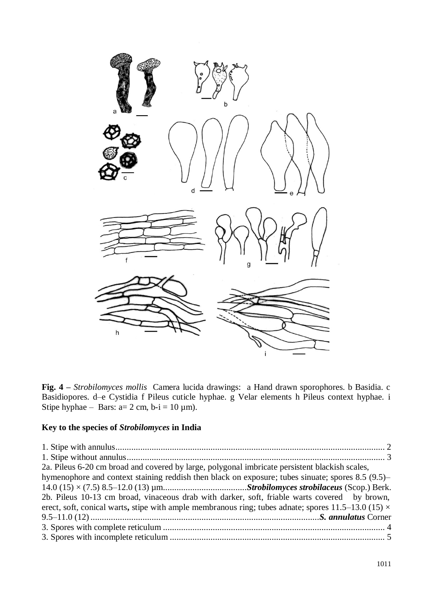

**Fig. 4 –** *Strobilomyces mollis* Camera lucida drawings: a Hand drawn sporophores. b Basidia. c Basidiopores. d–e Cystidia f Pileus cuticle hyphae. g Velar elements h Pileus context hyphae. i Stipe hyphae – Bars:  $a=2$  cm,  $b-i = 10 \mu m$ ).

## **Key to the species of** *Strobilomyces* **in India**

| 2a. Pileus 6-20 cm broad and covered by large, polygonal imbricate persistent blackish scales,             |  |
|------------------------------------------------------------------------------------------------------------|--|
| hymenophore and context staining reddish then black on exposure; tubes sinuate; spores 8.5 (9.5)–          |  |
|                                                                                                            |  |
| 2b. Pileus 10-13 cm broad, vinaceous drab with darker, soft, friable warts covered by brown,               |  |
| erect, soft, conical warts, stipe with ample membranous ring; tubes adnate; spores 11.5–13.0 (15) $\times$ |  |
|                                                                                                            |  |
|                                                                                                            |  |
|                                                                                                            |  |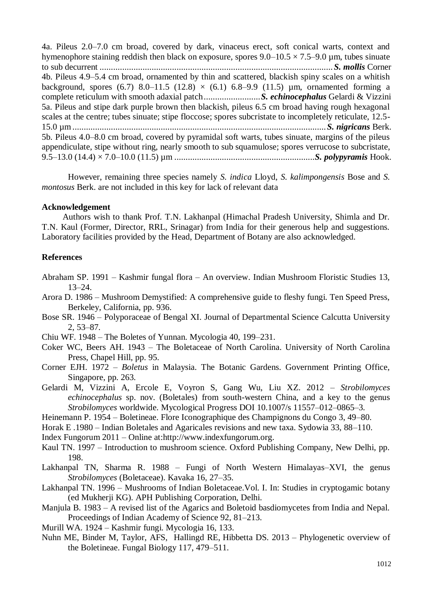4a. Pileus 2.0–7.0 cm broad, covered by dark, vinaceus erect, soft conical warts, context and hymenophore staining reddish then black on exposure, spores  $9.0-10.5 \times 7.5-9.0$  µm, tubes sinuate to sub decurrent ....................................................................................................... *S. mollis* Corner 4b. Pileus 4.9–5.4 cm broad, ornamented by thin and scattered, blackish spiny scales on a whitish background, spores (6.7) 8.0–11.5 (12.8)  $\times$  (6.1) 6.8–9.9 (11.5) µm, ornamented forming a complete reticulum with smooth adaxial patch.........................*S. echinocephalus* Gelardi & Vizzini 5a. Pileus and stipe dark purple brown then blackish, pileus 6.5 cm broad having rough hexagonal scales at the centre; tubes sinuate; stipe floccose; spores subcristate to incompletely reticulate, 12.5-15.0 µm................................................................................................................*S. nigricans* Berk. 5b. Pileus 4.0–8.0 cm broad, covered by pyramidal soft warts, tubes sinuate, margins of the pileus appendiculate, stipe without ring, nearly smooth to sub squamulose; spores verrucose to subcristate, 9.5–13.0 (14.4) × 7.0–10.0 (11.5) µm ..............................................................*S. polypyramis* Hook.

However, remaining three species namely *S. indica* Lloyd, *S. kalimpongensis* Bose and *S. montosus* Berk. are not included in this key for lack of relevant data

#### **Acknowledgement**

Authors wish to thank Prof. T.N. Lakhanpal (Himachal Pradesh University, Shimla and Dr. T.N. Kaul (Former, Director, RRL, Srinagar) from India for their generous help and suggestions. Laboratory facilities provided by the Head, Department of Botany are also acknowledged.

#### **References**

Abraham SP. 1991 – Kashmir fungal flora – An overview. Indian Mushroom Floristic Studies 13, 13–24.

- Arora D. 1986 Mushroom Demystified: A comprehensive guide to fleshy fungi. Ten Speed Press, Berkeley, California, pp. 936.
- Bose SR. 1946 Polyporaceae of Bengal XI. Journal of Departmental Science Calcutta University 2, 53–87.
- Chiu WF. 1948 The Boletes of Yunnan. Mycologia 40, 199–231.
- Coker WC, Beers AH. 1943 The Boletaceae of North Carolina. University of North Carolina Press, Chapel Hill, pp. 95.
- Corner EJH. 1972 *Boletus* in Malaysia. The Botanic Gardens. Government Printing Office, Singapore, pp. 263.
- Gelardi M, Vizzini A, Ercole E, Voyron S, Gang Wu, Liu XZ. 2012 *Strobilomyces echinocephalus* sp. nov. (Boletales) from south-western China, and a key to the genus *Strobilomyces* worldwide. Mycological Progress DOI 10.1007/s 11557–012–0865–3.
- Heinemann P. 1954 Boletineae. Flore Iconographique des Champignons du Congo 3, 49–80.
- Horak E .1980 Indian Boletales and Agaricales revisions and new taxa. Sydowia 33, 88–110.

Index Fungorum 2011 – Online at:http://www.indexfungorum.org.

- Kaul TN. 1997 Introduction to mushroom science. Oxford Publishing Company, New Delhi, pp. 198.
- Lakhanpal TN, Sharma R. 1988 Fungi of North Western Himalayas–XVI, the genus *Strobilomyces* (Boletaceae). Kavaka 16, 27–35.
- Lakhanpal TN. 1996 Mushrooms of Indian Boletaceae.Vol. I. In: Studies in cryptogamic botany (ed Mukherji KG). APH Publishing Corporation, Delhi.
- Manjula B. 1983 A revised list of the Agarics and Boletoid basdiomycetes from India and Nepal. Proceedings of Indian Academy of Science 92, 81–213.
- Murill WA. 1924 Kashmir fungi. Mycologia 16, 133.
- Nuhn ME, Binder M, Taylor, AFS, [Hallingd](http://www.sciencedirect.com/science/article/pii/S1878614613000676) RE, [Hibbetta](http://www.sciencedirect.com/science/article/pii/S1878614613000676) DS. 2013 Phylogenetic overview of the Boletineae. Fungal Biology 117, 479–511.